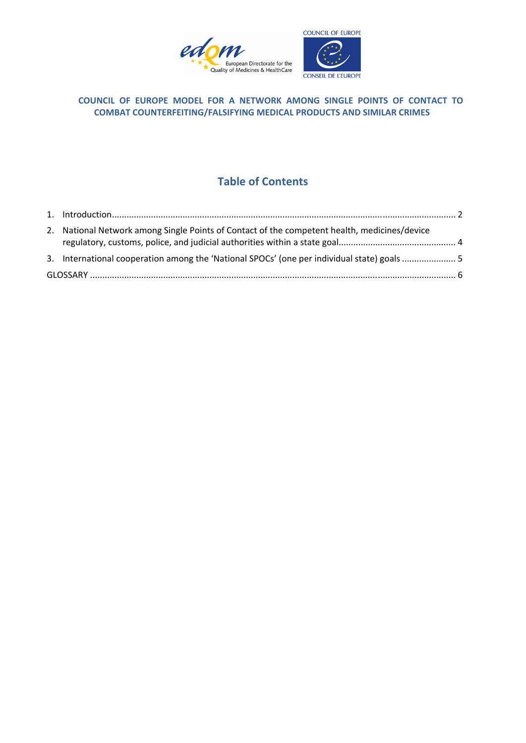



# **COUNCIL OF EUROPE MODEL FOR A NETWORK AMONG SINGLE POINTS OF CONTACT TO COMBAT COUNTERFEITING/FALSIFYING MEDICAL PRODUCTS AND SIMILAR CRIMES**

# **Table of Contents**

| 2. National Network among Single Points of Contact of the competent health, medicines/device |  |
|----------------------------------------------------------------------------------------------|--|
| 3. International cooperation among the 'National SPOCs' (one per individual state) goals  5  |  |
|                                                                                              |  |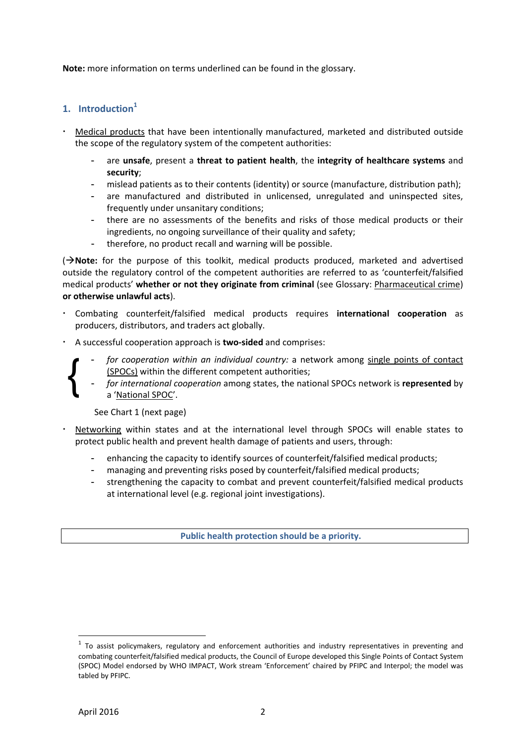**Note:** more information on terms underlined can be found in the glossary.

# **1. Introduction**<sup>1</sup>

- Medical products that have been intentionally manufactured, marketed and distributed outside the scope of the regulatory system of the competent authorities:
	- are **unsafe**, present a **threat to patient health**, the **integrity of healthcare systems** and **security**;
	- mislead patients as to their contents (identity) or source (manufacture, distribution path);
	- are manufactured and distributed in unlicensed, unregulated and uninspected sites, frequently under unsanitary conditions;
	- there are no assessments of the benefits and risks of those medical products or their ingredients, no ongoing surveillance of their quality and safety;
	- therefore, no product recall and warning will be possible.

( $\rightarrow$ **Note:** for the purpose of this toolkit, medical products produced, marketed and advertised outside the regulatory control of the competent authorities are referred to as 'counterfeit/falsified medical products' **whether or not they originate from criminal** (see Glossary: Pharmaceutical crime) **or otherwise unlawful acts**).

- Combating counterfeit/falsified medical products requires **international cooperation** as producers, distributors, and traders act globally.
- A successful cooperation approach is **two-sided** and comprises:
	- *for cooperation within an individual country:* a network among single points of contact (SPOCs) within the different competent authorities;
	- *for international cooperation* among states, the national SPOCs network is **represented** by a 'National SPOC'.

See Chart 1 (next page)

- Networking within states and at the international level through SPOCs will enable states to protect public health and prevent health damage of patients and users, through:
	- enhancing the capacity to identify sources of counterfeit/falsified medical products;
	- managing and preventing risks posed by counterfeit/falsified medical products;
	- strengthening the capacity to combat and prevent counterfeit/falsified medical products at international level (e.g. regional joint investigations).

**Public health protection should be a priority.** 

 $\overline{a}$ 

{

 $1$  To assist policymakers, regulatory and enforcement authorities and industry representatives in preventing and combating counterfeit/falsified medical products, the Council of Europe developed this Single Points of Contact System (SPOC) Model endorsed by WHO IMPACT, Work stream 'Enforcement' chaired by PFIPC and Interpol; the model was tabled by PFIPC.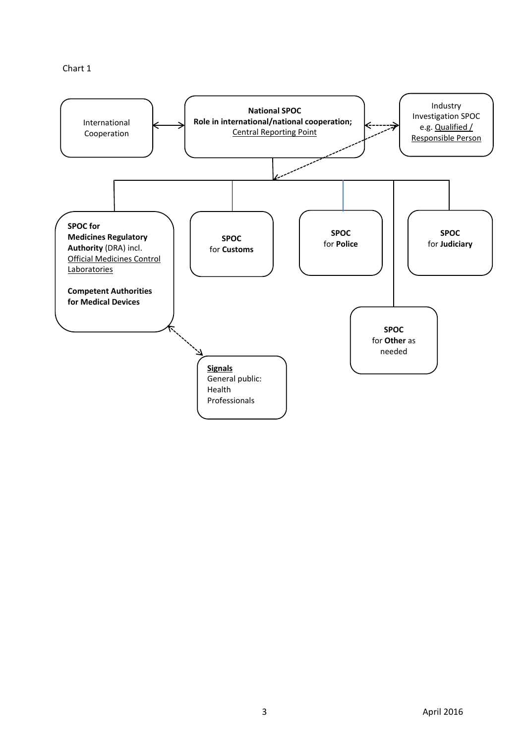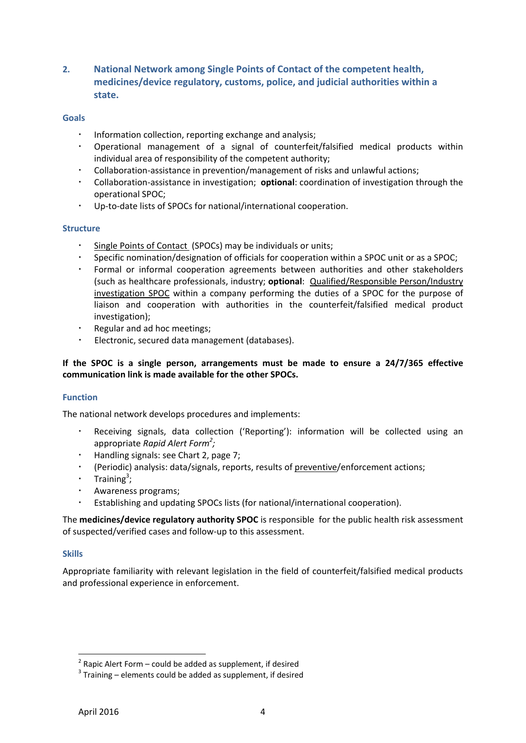**2. National Network among Single Points of Contact of the competent health, medicines/device regulatory, customs, police, and judicial authorities within a state.** 

## **Goals**

- Information collection, reporting exchange and analysis;
- Operational management of a signal of counterfeit/falsified medical products within individual area of responsibility of the competent authority;
- Collaboration-assistance in prevention/management of risks and unlawful actions;
- Collaboration-assistance in investigation; **optional**: coordination of investigation through the operational SPOC;
- Up-to-date lists of SPOCs for national/international cooperation.

## **Structure**

- Single Points of Contact (SPOCs) may be individuals or units;
- Specific nomination/designation of officials for cooperation within a SPOC unit or as a SPOC;
- Formal or informal cooperation agreements between authorities and other stakeholders (such as healthcare professionals, industry; **optional**: Qualified/Responsible Person/Industry investigation SPOC within a company performing the duties of a SPOC for the purpose of liaison and cooperation with authorities in the counterfeit/falsified medical product investigation);
- Regular and ad hoc meetings;
- Electronic, secured data management (databases).

# **If the SPOC is a single person, arrangements must be made to ensure a 24/7/365 effective communication link is made available for the other SPOCs.**

# **Function**

The national network develops procedures and implements:

- Receiving signals, data collection ('Reporting'): information will be collected using an appropriate *Rapid Alert Form<sup>2</sup> ;*
- Handling signals: see Chart 2, page 7;
- (Periodic) analysis: data/signals, reports, results of preventive/enforcement actions;
- **•** Training<sup>3</sup>;
- Awareness programs;
- Establishing and updating SPOCs lists (for national/international cooperation).

The **medicines/device regulatory authority SPOC** is responsible for the public health risk assessment of suspected/verified cases and follow-up to this assessment.

## **Skills**

Appropriate familiarity with relevant legislation in the field of counterfeit/falsified medical products and professional experience in enforcement.

 2 Rapic Alert Form – could be added as supplement, if desired

 $3$  Training – elements could be added as supplement, if desired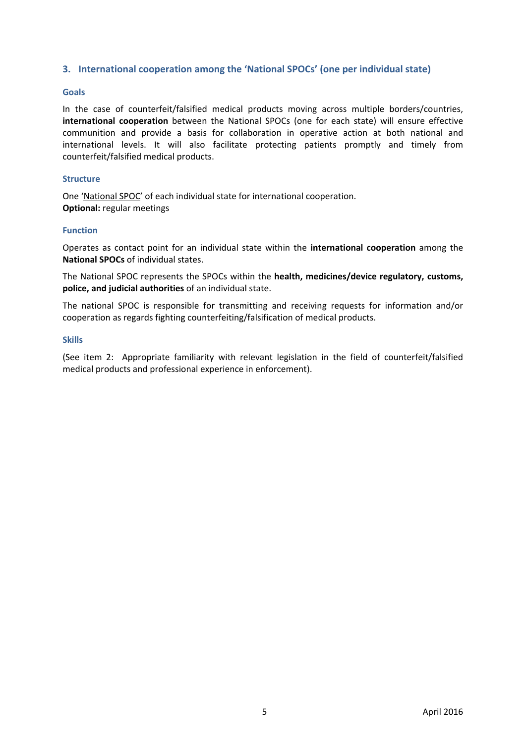## **3. International cooperation among the 'National SPOCs' (one per individual state)**

## **Goals**

In the case of counterfeit/falsified medical products moving across multiple borders/countries, **international cooperation** between the National SPOCs (one for each state) will ensure effective communition and provide a basis for collaboration in operative action at both national and international levels. It will also facilitate protecting patients promptly and timely from counterfeit/falsified medical products.

#### **Structure**

One 'National SPOC' of each individual state for international cooperation. **Optional:** regular meetings

### **Function**

Operates as contact point for an individual state within the **international cooperation** among the **National SPOCs** of individual states.

The National SPOC represents the SPOCs within the **health, medicines/device regulatory, customs, police, and judicial authorities** of an individual state.

The national SPOC is responsible for transmitting and receiving requests for information and/or cooperation as regards fighting counterfeiting/falsification of medical products.

#### **Skills**

(See item 2: Appropriate familiarity with relevant legislation in the field of counterfeit/falsified medical products and professional experience in enforcement).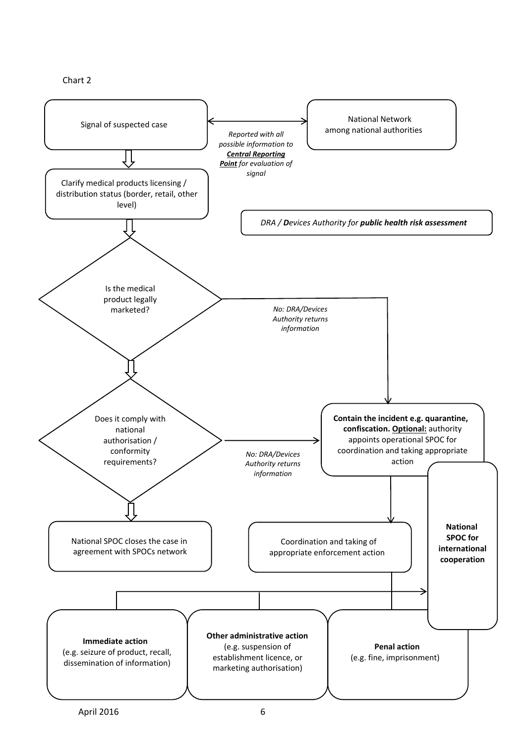

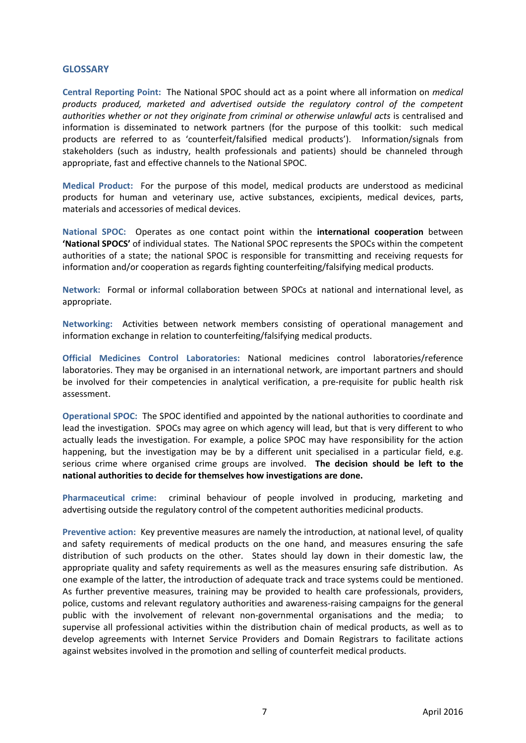### **GLOSSARY**

**Central Reporting Point:** The National SPOC should act as a point where all information on *medical products produced, marketed and advertised outside the regulatory control of the competent authorities whether or not they originate from criminal or otherwise unlawful acts* is centralised and information is disseminated to network partners (for the purpose of this toolkit: such medical products are referred to as 'counterfeit/falsified medical products'). Information/signals from stakeholders (such as industry, health professionals and patients) should be channeled through appropriate, fast and effective channels to the National SPOC.

**Medical Product:** For the purpose of this model, medical products are understood as medicinal products for human and veterinary use, active substances, excipients, medical devices, parts, materials and accessories of medical devices.

**National SPOC:** Operates as one contact point within the **international cooperation** between **'National SPOCS'** of individual states. The National SPOC represents the SPOCs within the competent authorities of a state; the national SPOC is responsible for transmitting and receiving requests for information and/or cooperation as regards fighting counterfeiting/falsifying medical products.

**Network:** Formal or informal collaboration between SPOCs at national and international level, as appropriate.

**Networking:** Activities between network members consisting of operational management and information exchange in relation to counterfeiting/falsifying medical products.

**Official Medicines Control Laboratories:** National medicines control laboratories/reference laboratories. They may be organised in an international network, are important partners and should be involved for their competencies in analytical verification, a pre-requisite for public health risk assessment.

**Operational SPOC:** The SPOC identified and appointed by the national authorities to coordinate and lead the investigation. SPOCs may agree on which agency will lead, but that is very different to who actually leads the investigation. For example, a police SPOC may have responsibility for the action happening, but the investigation may be by a different unit specialised in a particular field, e.g. serious crime where organised crime groups are involved. **The decision should be left to the national authorities to decide for themselves how investigations are done.** 

**Pharmaceutical crime:** criminal behaviour of people involved in producing, marketing and advertising outside the regulatory control of the competent authorities medicinal products.

**Preventive action:** Key preventive measures are namely the introduction, at national level, of quality and safety requirements of medical products on the one hand, and measures ensuring the safe distribution of such products on the other. States should lay down in their domestic law, the appropriate quality and safety requirements as well as the measures ensuring safe distribution. As one example of the latter, the introduction of adequate track and trace systems could be mentioned. As further preventive measures, training may be provided to health care professionals, providers, police, customs and relevant regulatory authorities and awareness-raising campaigns for the general public with the involvement of relevant non-governmental organisations and the media; to supervise all professional activities within the distribution chain of medical products, as well as to develop agreements with Internet Service Providers and Domain Registrars to facilitate actions against websites involved in the promotion and selling of counterfeit medical products.